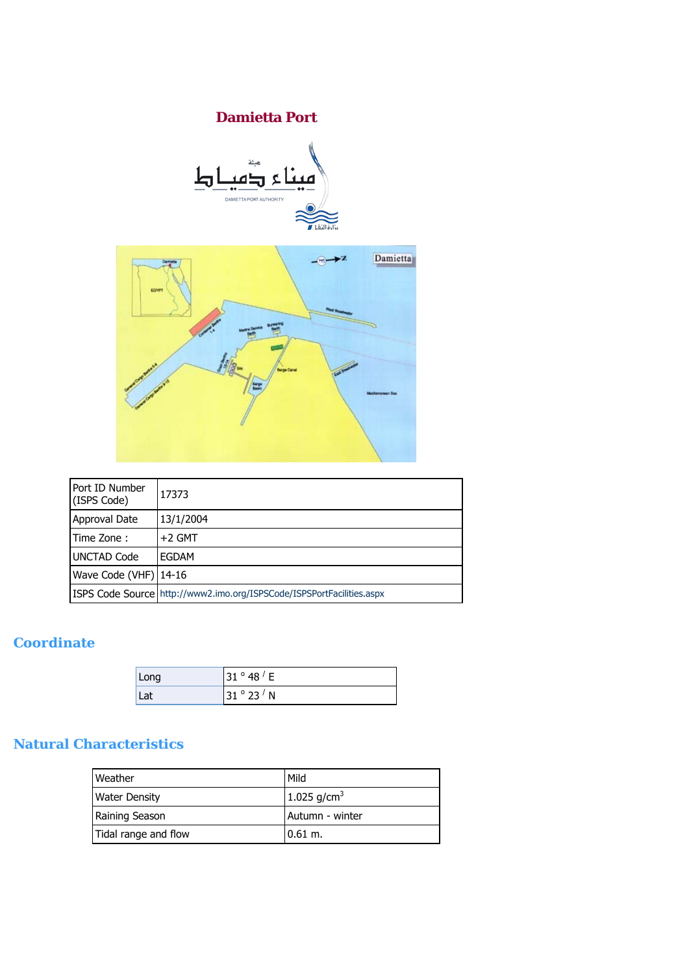# **Damietta Port**





| Port ID Number<br>(ISPS Code) | 17373                                                                 |
|-------------------------------|-----------------------------------------------------------------------|
| Approval Date                 | 13/1/2004                                                             |
| Time Zone:                    | $+2$ GMT                                                              |
| <b>UNCTAD Code</b>            | EGDAM                                                                 |
| Wave Code (VHF) $ 14-16$      |                                                                       |
|                               | ISPS Code Source http://www2.imo.org/ISPSCode/ISPSPortFacilities.aspx |

#### ISPS Code Source <http://www2.imo.org/ISPSCode/ISPSPortFacilities.aspx>

# **Coordinate**

| Long | 31 $^{\circ}$ 48 $^{\prime}$ E |
|------|--------------------------------|
| Lat  | 31°23'N                        |

## **Natural Characteristics**

| Weather              | Mild             |
|----------------------|------------------|
| <b>Water Density</b> | 1.025 $g/cm^{3}$ |
| Raining Season       | Autumn - winter  |
| Tidal range and flow | $0.61$ m.        |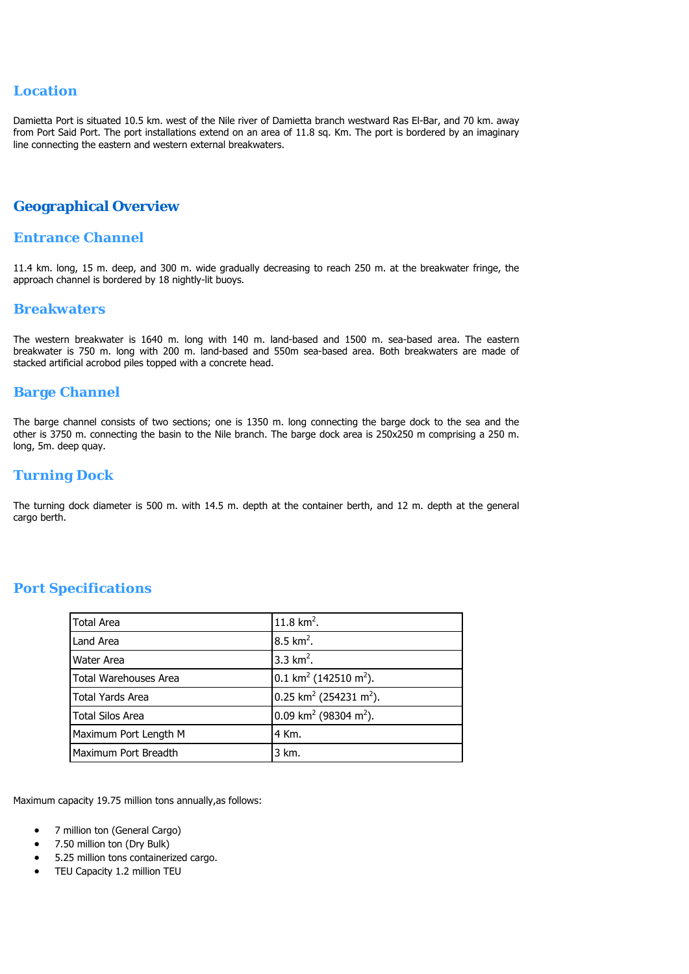#### **Location**

Damietta Port is situated 10.5 km. west of the Nile river of Damietta branch westward Ras El-Bar, and 70 km. away from Port Said Port. The port installations extend on an area of 11.8 sq. Km. The port is bordered by an imaginary line connecting the eastern and western external breakwaters.

#### **Geographical Overview**

#### **Entrance Channel**

11.4 km. long, 15 m. deep, and 300 m. wide gradually decreasing to reach 250 m. at the breakwater fringe, the approach channel is bordered by 18 nightly-lit buoys.

#### **Breakwaters**

The western breakwater is 1640 m. long with 140 m. land-based and 1500 m. sea-based area. The eastern breakwater is 750 m. long with 200 m. land-based and 550m sea-based area. Both breakwaters are made of stacked artificial acrobod piles topped with a concrete head.

#### **Barge Channel**

The barge channel consists of two sections; one is 1350 m. long connecting the barge dock to the sea and the other is 3750 m. connecting the basin to the Nile branch. The barge dock area is 250x250 m comprising a 250 m. long, 5m. deep quay.

#### **Turning Dock**

The turning dock diameter is 500 m. with 14.5 m. depth at the container berth, and 12 m. depth at the general cargo berth.

| Total Area            | $11.8$ km <sup>2</sup> .                         |
|-----------------------|--------------------------------------------------|
| Land Area             | $8.5 \text{ km}^2$ .                             |
| <b>Water Area</b>     | 3.3 $km^2$ .                                     |
| Total Warehouses Area | $0.1$ km <sup>2</sup> (142510 m <sup>2</sup> ).  |
| Total Yards Area      | $0.25$ km <sup>2</sup> (254231 m <sup>2</sup> ). |
| l Total Silos Area    | 0.09 km <sup>2</sup> (98304 m <sup>2</sup> ).    |
| Maximum Port Length M | 4 Km.                                            |
| Maximum Port Breadth  | 3 km.                                            |

### **Port Specifications**

Maximum capacity 19.75 million tons annually,as follows:

- 7 million ton (General Cargo)
- 7.50 million ton (Dry Bulk)
- 5.25 million tons containerized cargo.
- TEU Capacity 1.2 million TEU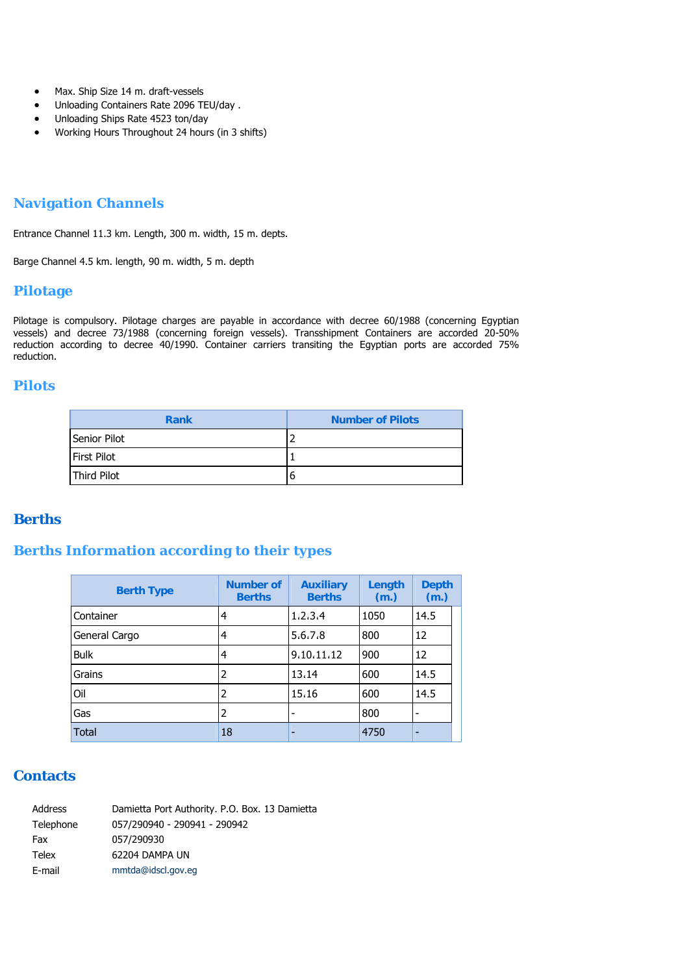- Max. Ship Size 14 m. draft-vessels
- Unloading Containers Rate 2096 TEU/day .
- Unloading Ships Rate 4523 ton/day
- Working Hours Throughout 24 hours (in 3 shifts)

#### **Navigation Channels**

Entrance Channel 11.3 km. Length, 300 m. width, 15 m. depts.

Barge Channel 4.5 km. length, 90 m. width, 5 m. depth

#### **Pilotage**

Pilotage is compulsory. Pilotage charges are payable in accordance with decree 60/1988 (concerning Egyptian vessels) and decree 73/1988 (concerning foreign vessels). Transshipment Containers are accorded 20-50% reduction according to decree 40/1990. Container carriers transiting the Egyptian ports are accorded 75% reduction.

#### **Pilots**

| <b>Rank</b>        | <b>Number of Pilots</b> |
|--------------------|-------------------------|
| Senior Pilot       |                         |
| <b>First Pilot</b> |                         |
| Third Pilot        | b                       |

#### **Berths**

### **Berths Information according to their types**

| <b>Berth Type</b> | <b>Number of</b><br><b>Berths</b> | <b>Auxiliary</b><br><b>Berths</b> | Length<br>(m.) | <b>Depth</b><br>(m.) |
|-------------------|-----------------------------------|-----------------------------------|----------------|----------------------|
| Container         | 4                                 | 1, 2, 3, 4                        | 1050           | 14.5                 |
| General Cargo     | 4                                 | 5,6,7,8                           | 800            | 12                   |
| <b>Bulk</b>       | 4                                 | 9,10,11,12                        | 900            | 12                   |
| Grains            | 2                                 | 13,14                             | 600            | 14.5                 |
| Oil               | 2                                 | 15,16                             | 600            | 14.5                 |
| Gas               | 2                                 | -                                 | 800            | -                    |
| <b>Total</b>      | 18                                | -                                 | 4750           | -                    |

#### **Contacts**

| Address   | Damietta Port Authority. P.O. Box. 13 Damietta |
|-----------|------------------------------------------------|
| Telephone | 057/290940 - 290941 - 290942                   |
| Fax       | 057/290930                                     |
| Telex     | 62204 DAMPA UN                                 |
| E-mail    | mmtda@idscl.gov.eq                             |